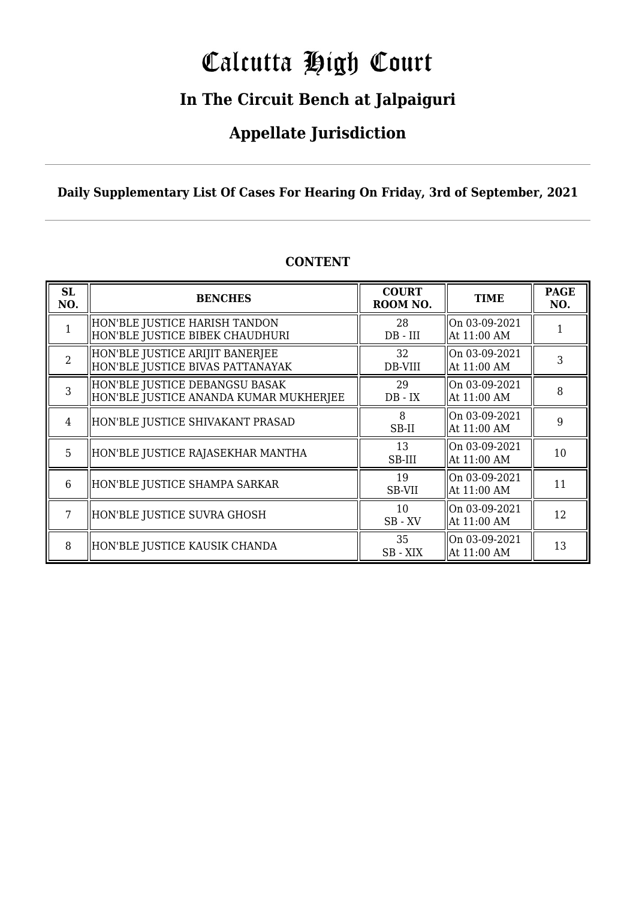# Calcutta High Court

### **In The Circuit Bench at Jalpaiguri**

### **Appellate Jurisdiction**

**Daily Supplementary List Of Cases For Hearing On Friday, 3rd of September, 2021**

| <b>SL</b><br>NO. | <b>BENCHES</b>                                                           | <b>COURT</b><br>ROOM NO. | <b>TIME</b>                  | <b>PAGE</b><br>NO. |
|------------------|--------------------------------------------------------------------------|--------------------------|------------------------------|--------------------|
|                  | HON'BLE JUSTICE HARISH TANDON<br>HON'BLE JUSTICE BIBEK CHAUDHURI         | 28<br>$DB$ - $III$       | On 03-09-2021<br>At 11:00 AM |                    |
| $\overline{2}$   | HON'BLE JUSTICE ARIJIT BANERJEE<br>HON'BLE JUSTICE BIVAS PATTANAYAK      | 32<br>DB-VIII            | On 03-09-2021<br>At 11:00 AM | 3                  |
| 3                | HON'BLE JUSTICE DEBANGSU BASAK<br>HON'BLE JUSTICE ANANDA KUMAR MUKHERJEE | 29<br>$DB - IX$          | On 03-09-2021<br>At 11:00 AM | 8                  |
| 4                | HON'BLE JUSTICE SHIVAKANT PRASAD                                         | 8<br>SB-II               | On 03-09-2021<br>At 11:00 AM | 9                  |
| 5                | HON'BLE JUSTICE RAJASEKHAR MANTHA                                        | 13<br>SB-III             | On 03-09-2021<br>At 11:00 AM | 10                 |
| 6                | HON'BLE JUSTICE SHAMPA SARKAR                                            | 19<br>SB-VII             | On 03-09-2021<br>At 11:00 AM | 11                 |
|                  | HON'BLE JUSTICE SUVRA GHOSH                                              | 10<br>$SB$ - $XV$        | On 03-09-2021<br>At 11:00 AM | 12                 |
| 8                | HON'BLE JUSTICE KAUSIK CHANDA                                            | 35<br>SB - XIX           | On 03-09-2021<br>At 11:00 AM | 13                 |

### **CONTENT**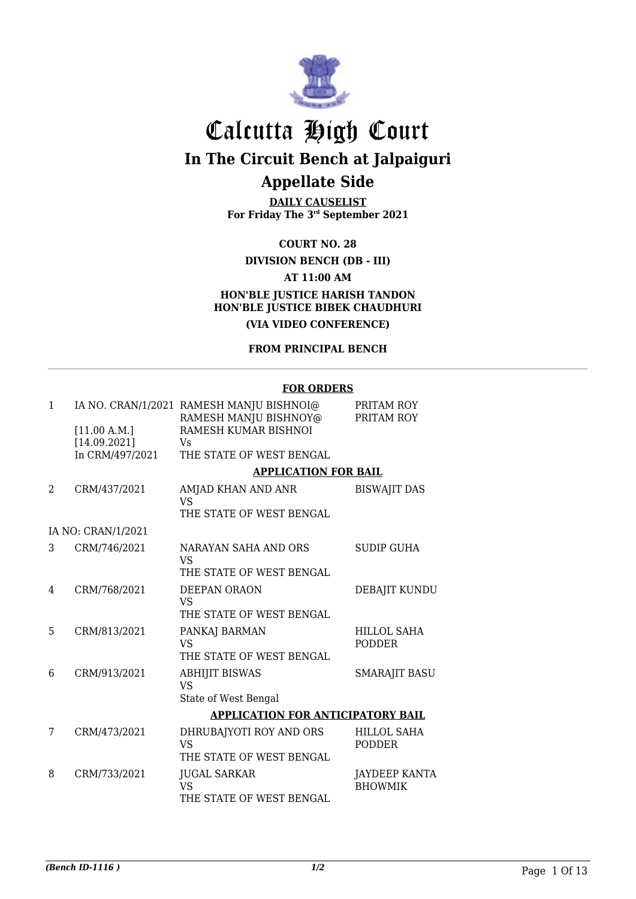

# Calcutta High Court

**In The Circuit Bench at Jalpaiguri**

### **Appellate Side**

**DAILY CAUSELIST For Friday The 3rd September 2021**

### **COURT NO. 28**

### **DIVISION BENCH (DB - III) AT 11:00 AM HON'BLE JUSTICE HARISH TANDON HON'BLE JUSTICE BIBEK CHAUDHURI (VIA VIDEO CONFERENCE)**

#### **FROM PRINCIPAL BENCH**

#### **FOR ORDERS**

| 1 |                    | IA NO. CRAN/1/2021 RAMESH MANJU BISHNOI@<br>RAMESH MANJU BISHNOY@ | PRITAM ROY<br>PRITAM ROY               |
|---|--------------------|-------------------------------------------------------------------|----------------------------------------|
|   | [11.00 A.M.]       | RAMESH KUMAR BISHNOI                                              |                                        |
|   | [14.09.2021]       | Vs                                                                |                                        |
|   | In CRM/497/2021    | THE STATE OF WEST BENGAL                                          |                                        |
|   |                    | <b>APPLICATION FOR BAIL</b>                                       |                                        |
| 2 | CRM/437/2021       | AMJAD KHAN AND ANR<br><b>VS</b>                                   | <b>BISWAJIT DAS</b>                    |
|   |                    | THE STATE OF WEST BENGAL                                          |                                        |
|   | IA NO: CRAN/1/2021 |                                                                   |                                        |
| 3 | CRM/746/2021       | NARAYAN SAHA AND ORS<br><b>VS</b>                                 | <b>SUDIP GUHA</b>                      |
|   |                    | THE STATE OF WEST BENGAL                                          |                                        |
| 4 | CRM/768/2021       | DEEPAN ORAON<br><b>VS</b><br>THE STATE OF WEST BENGAL             | DEBAJIT KUNDU                          |
|   |                    |                                                                   |                                        |
| 5 | CRM/813/2021       | PANKAJ BARMAN<br><b>VS</b>                                        | HILLOL SAHA<br><b>PODDER</b>           |
|   |                    | THE STATE OF WEST BENGAL                                          |                                        |
| 6 | CRM/913/2021       | <b>ABHIJIT BISWAS</b><br>VS                                       | <b>SMARAJIT BASU</b>                   |
|   |                    | State of West Bengal                                              |                                        |
|   |                    | <b>APPLICATION FOR ANTICIPATORY BAIL</b>                          |                                        |
| 7 | CRM/473/2021       | DHRUBAJYOTI ROY AND ORS<br><b>VS</b>                              | HILLOL SAHA<br><b>PODDER</b>           |
|   |                    | THE STATE OF WEST BENGAL                                          |                                        |
| 8 | CRM/733/2021       | <b>JUGAL SARKAR</b><br><b>VS</b><br>THE STATE OF WEST BENGAL      | <b>JAYDEEP KANTA</b><br><b>BHOWMIK</b> |
|   |                    |                                                                   |                                        |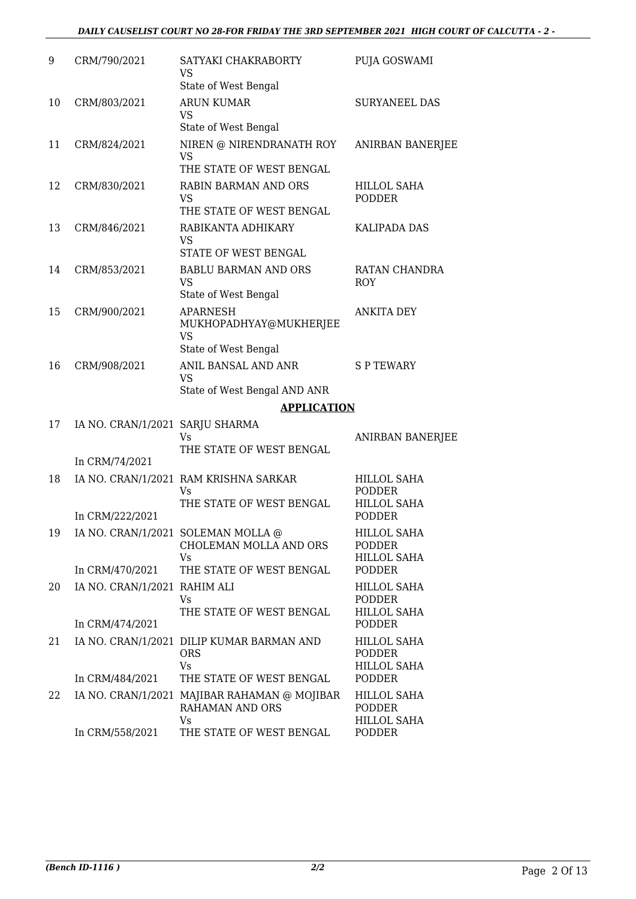| 9  | CRM/790/2021                    | SATYAKI CHAKRABORTY<br>VS                                             | PUJA GOSWAMI                                              |
|----|---------------------------------|-----------------------------------------------------------------------|-----------------------------------------------------------|
|    |                                 | State of West Bengal                                                  |                                                           |
| 10 | CRM/803/2021                    | <b>ARUN KUMAR</b><br><b>VS</b><br>State of West Bengal                | <b>SURYANEEL DAS</b>                                      |
| 11 | CRM/824/2021                    | NIREN @ NIRENDRANATH ROY<br>VS                                        | ANIRBAN BANERJEE                                          |
|    |                                 | THE STATE OF WEST BENGAL                                              |                                                           |
| 12 | CRM/830/2021                    | <b>RABIN BARMAN AND ORS</b><br>VS<br>THE STATE OF WEST BENGAL         | <b>HILLOL SAHA</b><br><b>PODDER</b>                       |
| 13 | CRM/846/2021                    | RABIKANTA ADHIKARY<br>VS                                              | <b>KALIPADA DAS</b>                                       |
|    |                                 | STATE OF WEST BENGAL                                                  |                                                           |
| 14 | CRM/853/2021                    | <b>BABLU BARMAN AND ORS</b><br><b>VS</b><br>State of West Bengal      | RATAN CHANDRA<br><b>ROY</b>                               |
| 15 | CRM/900/2021                    | <b>APARNESH</b><br>MUKHOPADHYAY@MUKHERJEE<br>VS                       | <b>ANKITA DEY</b>                                         |
|    |                                 | State of West Bengal                                                  |                                                           |
| 16 | CRM/908/2021                    | ANIL BANSAL AND ANR<br><b>VS</b>                                      | <b>SP TEWARY</b>                                          |
|    |                                 | State of West Bengal AND ANR                                          |                                                           |
|    |                                 | <b>APPLICATION</b>                                                    |                                                           |
| 17 | IA NO. CRAN/1/2021 SARJU SHARMA | Vs                                                                    | <b>ANIRBAN BANERJEE</b>                                   |
|    | In CRM/74/2021                  | THE STATE OF WEST BENGAL                                              |                                                           |
| 18 |                                 | IA NO. CRAN/1/2021 RAM KRISHNA SARKAR<br>Vs                           | <b>HILLOL SAHA</b><br>PODDER                              |
|    |                                 | THE STATE OF WEST BENGAL                                              | <b>HILLOL SAHA</b>                                        |
|    | In CRM/222/2021                 |                                                                       | <b>PODDER</b>                                             |
| 19 |                                 | IA NO. CRAN/1/2021 SOLEMAN MOLLA @<br>CHOLEMAN MOLLA AND ORS<br>Vs    | <b>HILLOL SAHA</b><br><b>PODDER</b><br><b>HILLOL SAHA</b> |
|    | In CRM/470/2021                 | THE STATE OF WEST BENGAL                                              | <b>PODDER</b>                                             |
| 20 | IA NO. CRAN/1/2021 RAHIM ALI    | Vs                                                                    | <b>HILLOL SAHA</b><br><b>PODDER</b>                       |
|    | In CRM/474/2021                 | THE STATE OF WEST BENGAL                                              | <b>HILLOL SAHA</b><br><b>PODDER</b>                       |
| 21 |                                 | IA NO. CRAN/1/2021 DILIP KUMAR BARMAN AND<br><b>ORS</b><br>Vs         | <b>HILLOL SAHA</b><br><b>PODDER</b><br><b>HILLOL SAHA</b> |
|    | In CRM/484/2021                 | THE STATE OF WEST BENGAL                                              | <b>PODDER</b>                                             |
| 22 |                                 | IA NO. CRAN/1/2021 MAJIBAR RAHAMAN @ MOJIBAR<br>RAHAMAN AND ORS<br>Vs | <b>HILLOL SAHA</b><br><b>PODDER</b><br><b>HILLOL SAHA</b> |
|    | In CRM/558/2021                 | THE STATE OF WEST BENGAL                                              | PODDER                                                    |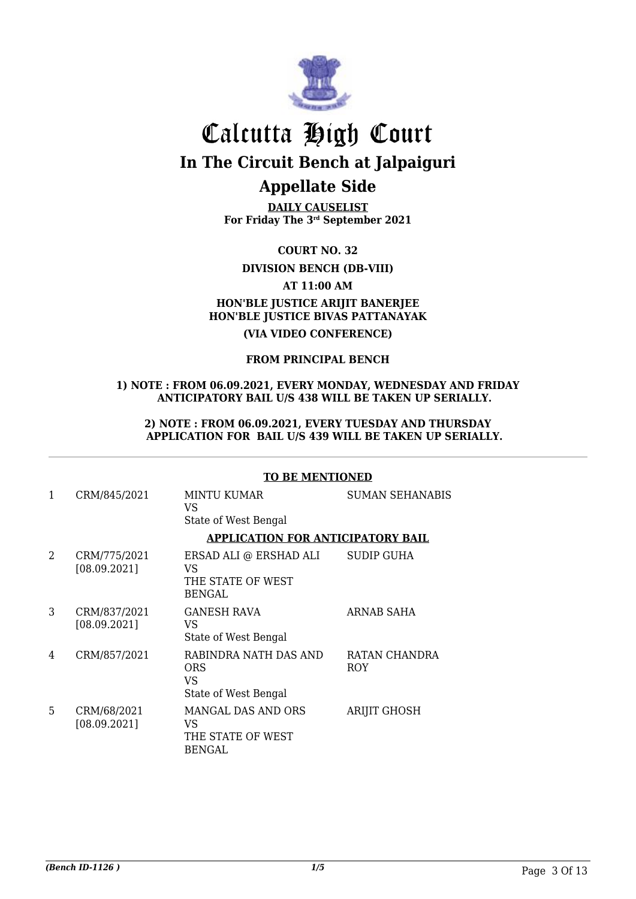

**DAILY CAUSELIST For Friday The 3rd September 2021**

**COURT NO. 32**

**DIVISION BENCH (DB-VIII)**

### **AT 11:00 AM**

### **HON'BLE JUSTICE ARIJIT BANERJEE HON'BLE JUSTICE BIVAS PATTANAYAK**

**(VIA VIDEO CONFERENCE)**

#### **FROM PRINCIPAL BENCH**

#### **1) NOTE : FROM 06.09.2021, EVERY MONDAY, WEDNESDAY AND FRIDAY ANTICIPATORY BAIL U/S 438 WILL BE TAKEN UP SERIALLY.**

#### **2) NOTE : FROM 06.09.2021, EVERY TUESDAY AND THURSDAY APPLICATION FOR BAIL U/S 439 WILL BE TAKEN UP SERIALLY.**

|                             |                              | <b>TO BE MENTIONED</b>                                             |                             |  |
|-----------------------------|------------------------------|--------------------------------------------------------------------|-----------------------------|--|
| 1                           | CRM/845/2021                 | <b>MINTU KUMAR</b><br>VS<br>State of West Bengal                   | <b>SUMAN SEHANABIS</b>      |  |
|                             |                              | <b>APPLICATION FOR ANTICIPATORY BAIL</b>                           |                             |  |
| $\mathcal{D}_{\mathcal{L}}$ | CRM/775/2021<br>[08.09.2021] | ERSAD ALI @ ERSHAD ALI<br>VS<br>THE STATE OF WEST<br><b>BENGAL</b> | SUDIP GUHA                  |  |
| 3                           | CRM/837/2021<br>[08.09.2021] | <b>GANESH RAVA</b><br>VS<br>State of West Bengal                   | ARNAB SAHA                  |  |
| 4                           | CRM/857/2021                 | RABINDRA NATH DAS AND<br><b>ORS</b><br>VS<br>State of West Bengal  | RATAN CHANDRA<br><b>ROY</b> |  |
| 5                           | CRM/68/2021<br>[08.09.2021]  | MANGAL DAS AND ORS<br>VS<br>THE STATE OF WEST<br><b>BENGAL</b>     | <b>ARIJIT GHOSH</b>         |  |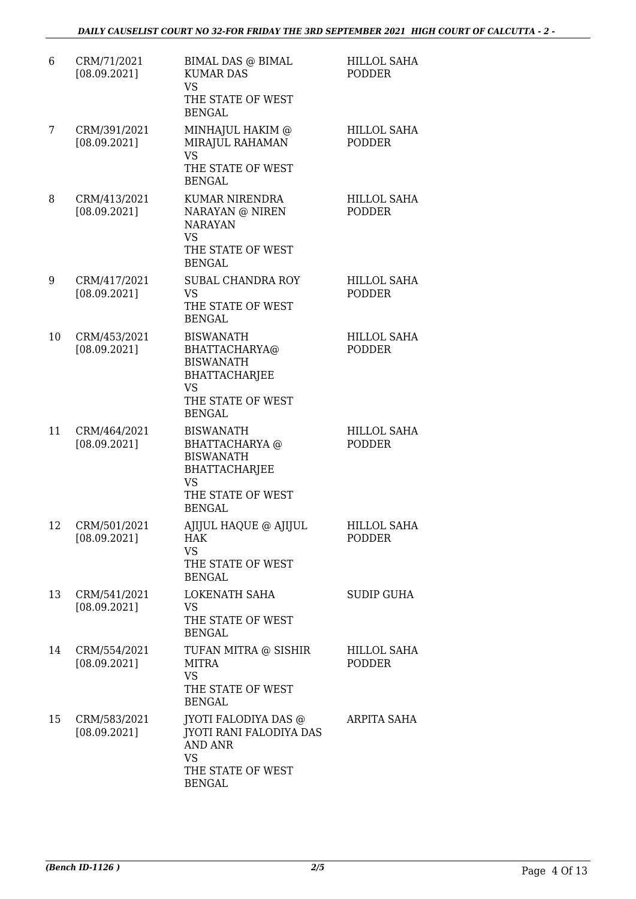| 6  | CRM/71/2021<br>[08.09.2021]  | <b>BIMAL DAS @ BIMAL</b><br><b>KUMAR DAS</b><br><b>VS</b><br>THE STATE OF WEST<br><b>BENGAL</b>                                   | <b>HILLOL SAHA</b><br><b>PODDER</b> |
|----|------------------------------|-----------------------------------------------------------------------------------------------------------------------------------|-------------------------------------|
| 7  | CRM/391/2021<br>[08.09.2021] | MINHAJUL HAKIM @<br>MIRAJUL RAHAMAN<br><b>VS</b><br>THE STATE OF WEST<br><b>BENGAL</b>                                            | <b>HILLOL SAHA</b><br><b>PODDER</b> |
| 8  | CRM/413/2021<br>[08.09.2021] | KUMAR NIRENDRA<br>NARAYAN @ NIREN<br><b>NARAYAN</b><br><b>VS</b><br>THE STATE OF WEST<br><b>BENGAL</b>                            | <b>HILLOL SAHA</b><br><b>PODDER</b> |
| 9  | CRM/417/2021<br>[08.09.2021] | <b>SUBAL CHANDRA ROY</b><br><b>VS</b><br>THE STATE OF WEST<br><b>BENGAL</b>                                                       | <b>HILLOL SAHA</b><br><b>PODDER</b> |
| 10 | CRM/453/2021<br>[08.09.2021] | <b>BISWANATH</b><br>BHATTACHARYA@<br><b>BISWANATH</b><br><b>BHATTACHARJEE</b><br>VS.<br>THE STATE OF WEST<br><b>BENGAL</b>        | HILLOL SAHA<br><b>PODDER</b>        |
| 11 | CRM/464/2021<br>[08.09.2021] | <b>BISWANATH</b><br>BHATTACHARYA @<br><b>BISWANATH</b><br><b>BHATTACHARJEE</b><br><b>VS</b><br>THE STATE OF WEST<br><b>BENGAL</b> | <b>HILLOL SAHA</b><br><b>PODDER</b> |
| 12 | CRM/501/2021<br>[08.09.2021] | AJIJUL HAQUE @ AJIJUL<br>HAK<br><b>VS</b><br>THE STATE OF WEST<br><b>BENGAL</b>                                                   | <b>HILLOL SAHA</b><br>PODDER        |
| 13 | CRM/541/2021<br>[08.09.2021] | LOKENATH SAHA<br><b>VS</b><br>THE STATE OF WEST<br><b>BENGAL</b>                                                                  | <b>SUDIP GUHA</b>                   |
| 14 | CRM/554/2021<br>[08.09.2021] | TUFAN MITRA @ SISHIR<br><b>MITRA</b><br><b>VS</b><br>THE STATE OF WEST<br><b>BENGAL</b>                                           | HILLOL SAHA<br><b>PODDER</b>        |
| 15 | CRM/583/2021<br>[08.09.2021] | JYOTI FALODIYA DAS @<br><b>JYOTI RANI FALODIYA DAS</b><br><b>AND ANR</b><br><b>VS</b><br>THE STATE OF WEST<br><b>BENGAL</b>       | ARPITA SAHA                         |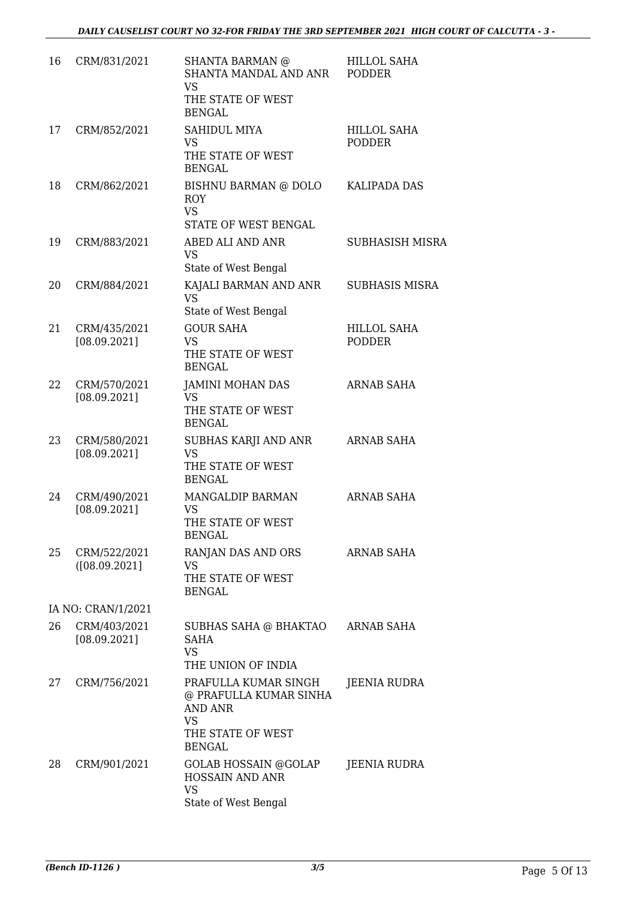| 16 | CRM/831/2021                  | SHANTA BARMAN @<br>SHANTA MANDAL AND ANR<br><b>VS</b><br>THE STATE OF WEST<br><b>BENGAL</b>                         | <b>HILLOL SAHA</b><br><b>PODDER</b> |
|----|-------------------------------|---------------------------------------------------------------------------------------------------------------------|-------------------------------------|
| 17 | CRM/852/2021                  | SAHIDUL MIYA<br><b>VS</b><br>THE STATE OF WEST<br><b>BENGAL</b>                                                     | <b>HILLOL SAHA</b><br><b>PODDER</b> |
| 18 | CRM/862/2021                  | BISHNU BARMAN @ DOLO<br><b>ROY</b><br><b>VS</b><br>STATE OF WEST BENGAL                                             | KALIPADA DAS                        |
| 19 | CRM/883/2021                  | ABED ALI AND ANR<br>VS<br>State of West Bengal                                                                      | <b>SUBHASISH MISRA</b>              |
| 20 | CRM/884/2021                  | KAJALI BARMAN AND ANR<br><b>VS</b><br>State of West Bengal                                                          | <b>SUBHASIS MISRA</b>               |
| 21 | CRM/435/2021<br>[08.09.2021]  | <b>GOUR SAHA</b><br><b>VS</b><br>THE STATE OF WEST<br><b>BENGAL</b>                                                 | <b>HILLOL SAHA</b><br><b>PODDER</b> |
| 22 | CRM/570/2021<br>[08.09.2021]  | <b>JAMINI MOHAN DAS</b><br>VS<br>THE STATE OF WEST<br><b>BENGAL</b>                                                 | ARNAB SAHA                          |
| 23 | CRM/580/2021<br>[08.09.2021]  | SUBHAS KARJI AND ANR<br><b>VS</b><br>THE STATE OF WEST<br><b>BENGAL</b>                                             | <b>ARNAB SAHA</b>                   |
| 24 | CRM/490/2021<br>[08.09.2021]  | MANGALDIP BARMAN<br><b>VS</b><br>THE STATE OF WEST<br><b>BENGAL</b>                                                 | <b>ARNAB SAHA</b>                   |
| 25 | CRM/522/2021<br>([08.09.2021] | RANJAN DAS AND ORS<br>VS<br>THE STATE OF WEST<br><b>BENGAL</b>                                                      | <b>ARNAB SAHA</b>                   |
|    | IA NO: CRAN/1/2021            |                                                                                                                     |                                     |
| 26 | CRM/403/2021<br>[08.09.2021]  | SUBHAS SAHA @ BHAKTAO<br>SAHA<br>VS.<br>THE UNION OF INDIA                                                          | ARNAB SAHA                          |
| 27 | CRM/756/2021                  | PRAFULLA KUMAR SINGH<br>@ PRAFULLA KUMAR SINHA<br><b>AND ANR</b><br><b>VS</b><br>THE STATE OF WEST<br><b>BENGAL</b> | JEENIA RUDRA                        |
| 28 | CRM/901/2021                  | GOLAB HOSSAIN @GOLAP<br><b>HOSSAIN AND ANR</b><br><b>VS</b><br>State of West Bengal                                 | JEENIA RUDRA                        |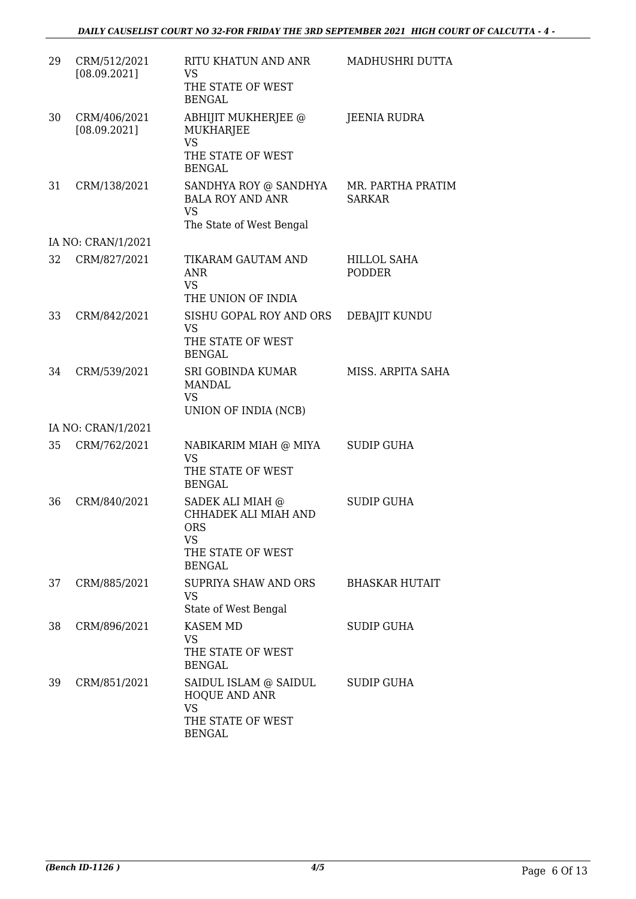| 29 | CRM/512/2021<br>[08.09.2021] | RITU KHATUN AND ANR<br><b>VS</b><br>THE STATE OF WEST<br><b>BENGAL</b>                             | MADHUSHRI DUTTA                     |
|----|------------------------------|----------------------------------------------------------------------------------------------------|-------------------------------------|
| 30 | CRM/406/2021<br>[08.09.2021] | ABHIJIT MUKHERJEE @<br><b>MUKHARJEE</b><br><b>VS</b><br>THE STATE OF WEST<br><b>BENGAL</b>         | <b>JEENIA RUDRA</b>                 |
| 31 | CRM/138/2021                 | SANDHYA ROY @ SANDHYA<br><b>BALA ROY AND ANR</b><br><b>VS</b><br>The State of West Bengal          | MR. PARTHA PRATIM<br><b>SARKAR</b>  |
|    | IA NO: CRAN/1/2021           |                                                                                                    |                                     |
| 32 | CRM/827/2021                 | TIKARAM GAUTAM AND<br><b>ANR</b><br><b>VS</b><br>THE UNION OF INDIA                                | <b>HILLOL SAHA</b><br><b>PODDER</b> |
| 33 | CRM/842/2021                 | SISHU GOPAL ROY AND ORS<br><b>VS</b><br>THE STATE OF WEST<br><b>BENGAL</b>                         | DEBAJIT KUNDU                       |
| 34 | CRM/539/2021                 | <b>SRI GOBINDA KUMAR</b><br><b>MANDAL</b><br><b>VS</b><br>UNION OF INDIA (NCB)                     | MISS. ARPITA SAHA                   |
|    | IA NO: CRAN/1/2021           |                                                                                                    |                                     |
| 35 | CRM/762/2021                 | NABIKARIM MIAH @ MIYA<br><b>VS</b><br>THE STATE OF WEST<br><b>BENGAL</b>                           | <b>SUDIP GUHA</b>                   |
| 36 | CRM/840/2021                 | SADEK ALI MIAH @<br>CHHADEK ALI MIAH AND<br><b>ORS</b><br>VS<br>THE STATE OF WEST<br><b>BENGAL</b> | <b>SUDIP GUHA</b>                   |
| 37 | CRM/885/2021                 | SUPRIYA SHAW AND ORS<br><b>VS</b><br>State of West Bengal                                          | <b>BHASKAR HUTAIT</b>               |
| 38 | CRM/896/2021                 | <b>KASEM MD</b><br>VS.<br>THE STATE OF WEST<br><b>BENGAL</b>                                       | <b>SUDIP GUHA</b>                   |
| 39 | CRM/851/2021                 | SAIDUL ISLAM @ SAIDUL<br><b>HOQUE AND ANR</b><br><b>VS</b><br>THE STATE OF WEST<br><b>BENGAL</b>   | <b>SUDIP GUHA</b>                   |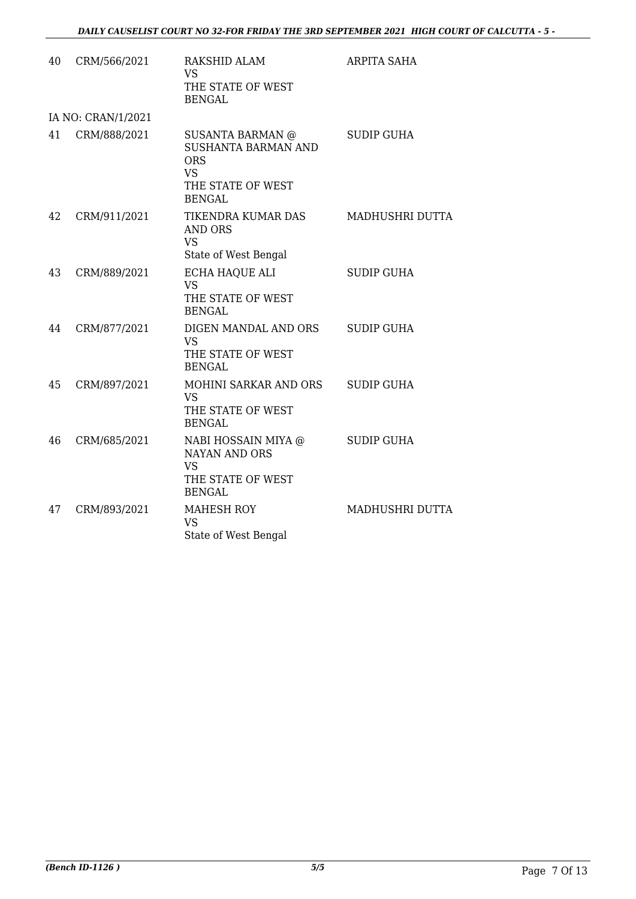| 40 | CRM/566/2021       | RAKSHID ALAM<br>VS.<br>THE STATE OF WEST<br><b>BENGAL</b>                                                | ARPITA SAHA       |
|----|--------------------|----------------------------------------------------------------------------------------------------------|-------------------|
|    | IA NO: CRAN/1/2021 |                                                                                                          |                   |
| 41 | CRM/888/2021       | SUSANTA BARMAN @<br>SUSHANTA BARMAN AND<br><b>ORS</b><br><b>VS</b><br>THE STATE OF WEST<br><b>BENGAL</b> | <b>SUDIP GUHA</b> |
| 42 | CRM/911/2021       | TIKENDRA KUMAR DAS<br><b>AND ORS</b><br><b>VS</b><br>State of West Bengal                                | MADHUSHRI DUTTA   |
| 43 | CRM/889/2021       | ECHA HAQUE ALI<br><b>VS</b><br>THE STATE OF WEST<br><b>BENGAL</b>                                        | <b>SUDIP GUHA</b> |
| 44 | CRM/877/2021       | DIGEN MANDAL AND ORS<br><b>VS</b><br>THE STATE OF WEST<br><b>BENGAL</b>                                  | <b>SUDIP GUHA</b> |
| 45 | CRM/897/2021       | MOHINI SARKAR AND ORS<br><b>VS</b><br>THE STATE OF WEST<br><b>BENGAL</b>                                 | <b>SUDIP GUHA</b> |
| 46 | CRM/685/2021       | NABI HOSSAIN MIYA @<br><b>NAYAN AND ORS</b><br><b>VS</b><br>THE STATE OF WEST<br><b>BENGAL</b>           | <b>SUDIP GUHA</b> |
| 47 | CRM/893/2021       | MAHESH ROY<br><b>VS</b><br>State of West Bengal                                                          | MADHUSHRI DUTTA   |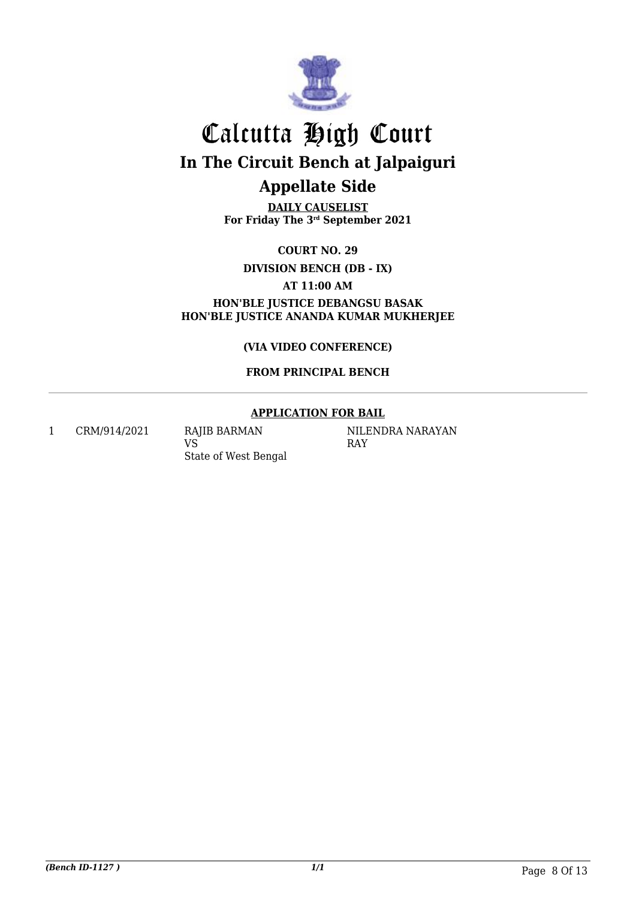

**DAILY CAUSELIST For Friday The 3rd September 2021**

**COURT NO. 29**

**DIVISION BENCH (DB - IX)**

**AT 11:00 AM**

**HON'BLE JUSTICE DEBANGSU BASAK HON'BLE JUSTICE ANANDA KUMAR MUKHERJEE**

**(VIA VIDEO CONFERENCE)**

### **FROM PRINCIPAL BENCH**

### **APPLICATION FOR BAIL**

1 CRM/914/2021 RAJIB BARMAN

VS State of West Bengal NILENDRA NARAYAN RAY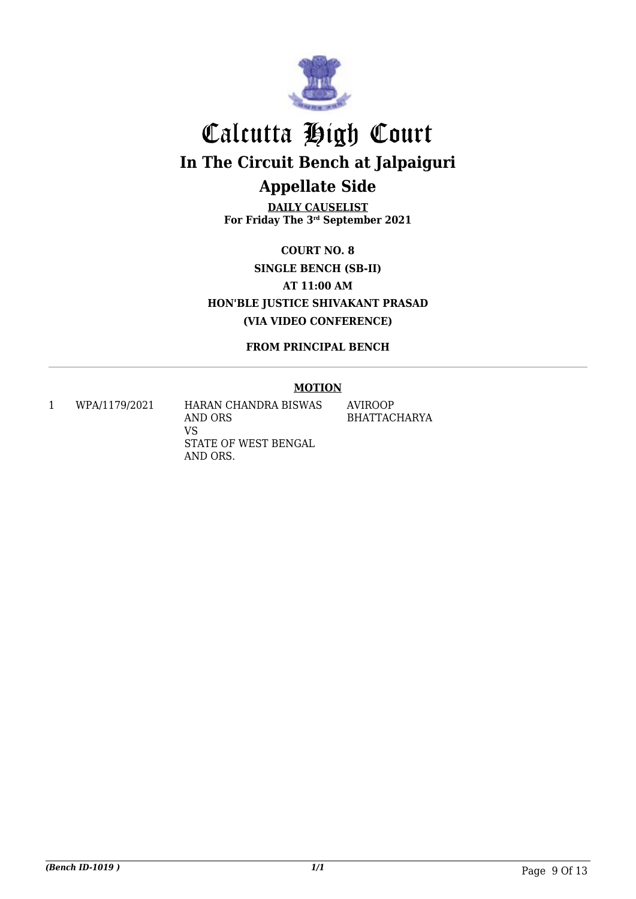

**DAILY CAUSELIST For Friday The 3rd September 2021**

**COURT NO. 8 SINGLE BENCH (SB-II) AT 11:00 AM HON'BLE JUSTICE SHIVAKANT PRASAD (VIA VIDEO CONFERENCE)**

**FROM PRINCIPAL BENCH**

### **MOTION**

1 WPA/1179/2021 HARAN CHANDRA BISWAS AND ORS VS STATE OF WEST BENGAL AND ORS. AVIROOP BHATTACHARYA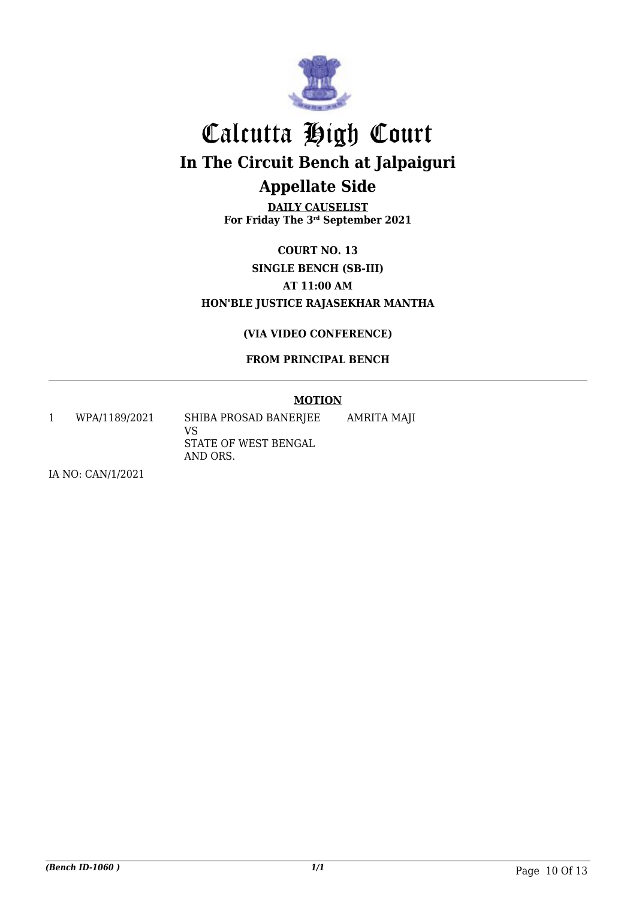

**DAILY CAUSELIST For Friday The 3rd September 2021**

**COURT NO. 13 SINGLE BENCH (SB-III) AT 11:00 AM HON'BLE JUSTICE RAJASEKHAR MANTHA**

### **(VIA VIDEO CONFERENCE)**

### **FROM PRINCIPAL BENCH**

### **MOTION**

1 WPA/1189/2021 SHIBA PROSAD BANERJEE VS STATE OF WEST BENGAL AND ORS. AMRITA MAJI

IA NO: CAN/1/2021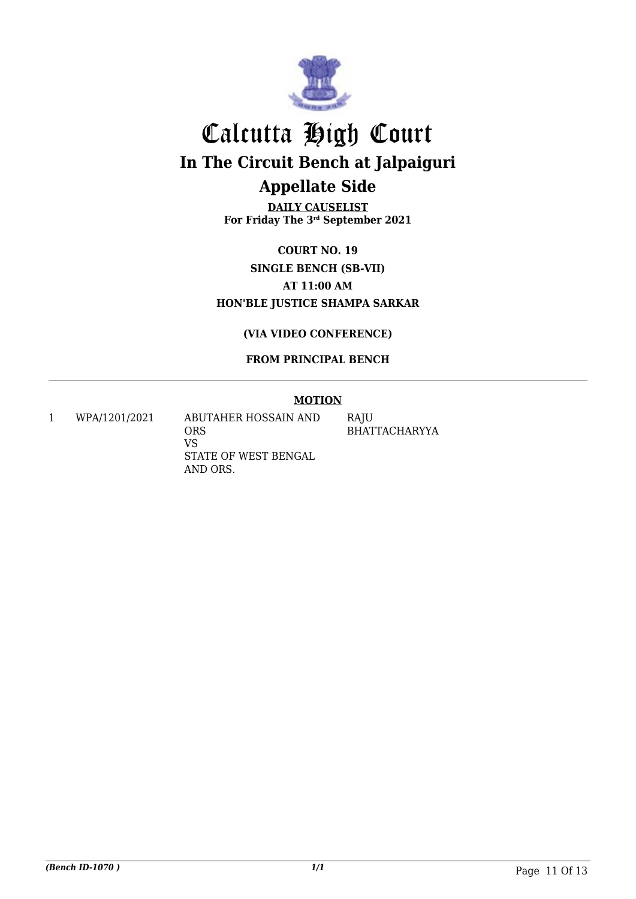

**DAILY CAUSELIST For Friday The 3rd September 2021**

**COURT NO. 19 SINGLE BENCH (SB-VII) AT 11:00 AM HON'BLE JUSTICE SHAMPA SARKAR**

**(VIA VIDEO CONFERENCE)**

**FROM PRINCIPAL BENCH**

### **MOTION**

1 WPA/1201/2021 ABUTAHER HOSSAIN AND ORS VS STATE OF WEST BENGAL AND ORS.

RAJU BHATTACHARYYA

*(Bench ID-1070 ) 1/1* Page 11 Of 13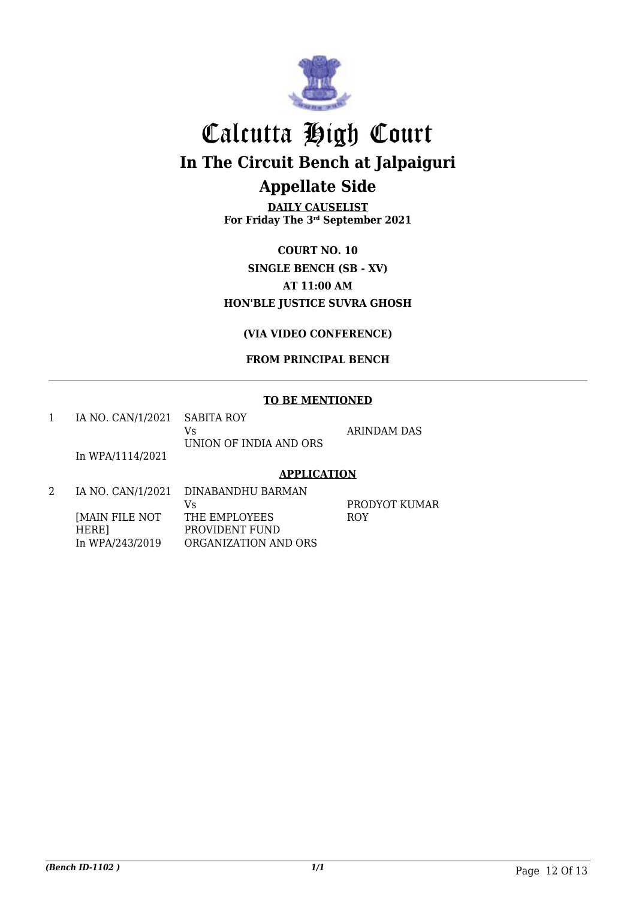

**DAILY CAUSELIST For Friday The 3rd September 2021**

**COURT NO. 10 SINGLE BENCH (SB - XV) AT 11:00 AM HON'BLE JUSTICE SUVRA GHOSH**

**(VIA VIDEO CONFERENCE)**

### **FROM PRINCIPAL BENCH**

### **TO BE MENTIONED**

| IA NO. CAN/1/2021 SABITA ROY |                        |  |
|------------------------------|------------------------|--|
|                              | Vs                     |  |
|                              | UNION OF INDIA AND ORS |  |

RINDAM DAS

In WPA/1114/2021

### **APPLICATION**

2 IA NO. CAN/1/2021 DINABANDHU BARMAN [MAIN FILE NOT HERE] In WPA/243/2019 Vs THE EMPLOYEES PROVIDENT FUND ORGANIZATION AND ORS

PRODYOT KUMAR ROY